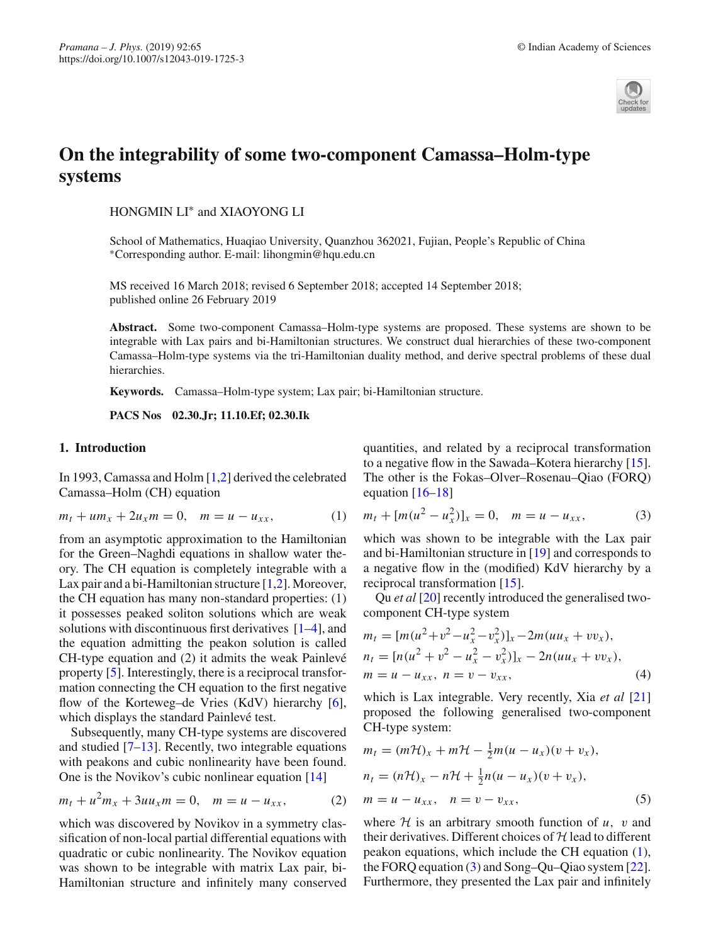

# **On the integrability of some two-component Camassa–Holm-type systems**

HONGMIN LI∗ and XIAOYONG LI

School of Mathematics, Huaqiao University, Quanzhou 362021, Fujian, People's Republic of China ∗Corresponding author. E-mail: lihongmin@hqu.edu.cn

MS received 16 March 2018; revised 6 September 2018; accepted 14 September 2018; published online 26 February 2019

**Abstract.** Some two-component Camassa–Holm-type systems are proposed. These systems are shown to be integrable with Lax pairs and bi-Hamiltonian structures. We construct dual hierarchies of these two-component Camassa–Holm-type systems via the tri-Hamiltonian duality method, and derive spectral problems of these dual hierarchies.

**Keywords.** Camassa–Holm-type system; Lax pair; bi-Hamiltonian structure.

<span id="page-0-0"></span>**PACS Nos 02.30.Jr; 11.10.Ef; 02.30.Ik**

# **1. Introduction**

In 1993, Camassa and Holm [\[1](#page-4-0)[,2](#page-4-1)] derived the celebrated Camassa–Holm (CH) equation

$$
m_t + u m_x + 2u_x m = 0, \quad m = u - u_{xx}, \tag{1}
$$

from an asymptotic approximation to the Hamiltonian for the Green–Naghdi equations in shallow water theory. The CH equation is completely integrable with a Lax pair and a bi-Hamiltonian structure [\[1](#page-4-0)[,2](#page-4-1)]. Moreover, the CH equation has many non-standard properties: (1) it possesses peaked soliton solutions which are weak solutions with discontinuous first derivatives [\[1](#page-4-0)[–4](#page-4-2)], and the equation admitting the peakon solution is called CH-type equation and (2) it admits the weak Painlevé property [\[5\]](#page-5-0). Interestingly, there is a reciprocal transformation connecting the CH equation to the first negative flow of the Korteweg–de Vries (KdV) hierarchy [\[6](#page-5-1)], which displays the standard Painlevé test.

Subsequently, many CH-type systems are discovered and studied  $[7-13]$  $[7-13]$ . Recently, two integrable equations with peakons and cubic nonlinearity have been found. One is the Novikov's cubic nonlinear equation [\[14](#page-5-4)]

$$
m_t + u^2 m_x + 3uu_x m = 0, \quad m = u - u_{xx}, \tag{2}
$$

which was discovered by Novikov in a symmetry classification of non-local partial differential equations with quadratic or cubic nonlinearity. The Novikov equation was shown to be integrable with matrix Lax pair, bi-Hamiltonian structure and infinitely many conserved quantities, and related by a reciprocal transformation to a negative flow in the Sawada–Kotera hierarchy [\[15](#page-5-5)]. The other is the Fokas–Olver–Rosenau–Qiao (FORQ) equation  $[16–18]$  $[16–18]$  $[16–18]$ 

<span id="page-0-1"></span>
$$
m_t + [m(u^2 - u_x^2)]_x = 0, \quad m = u - u_{xx}, \tag{3}
$$

which was shown to be integrable with the Lax pair and bi-Hamiltonian structure in [\[19\]](#page-5-8) and corresponds to a negative flow in the (modified) KdV hierarchy by a reciprocal transformation [\[15](#page-5-5)].

Qu *et al* [\[20\]](#page-5-9) recently introduced the generalised twocomponent CH-type system

<span id="page-0-2"></span>
$$
m_t = [m(u^2 + v^2 - u_x^2 - v_x^2)]_x - 2m(uu_x + vv_x),
$$
  
\n
$$
n_t = [n(u^2 + v^2 - u_x^2 - v_x^2)]_x - 2n(uu_x + vv_x),
$$
  
\n
$$
m = u - u_{xx}, \quad n = v - v_{xx},
$$
\n(4)

which is Lax integrable. Very recently, Xia *et al* [\[21\]](#page-5-10) proposed the following generalised two-component CH-type system:

<span id="page-0-3"></span>
$$
m_t = (m\mathcal{H})_x + m\mathcal{H} - \frac{1}{2}m(u - u_x)(v + v_x),
$$
  
\n
$$
n_t = (n\mathcal{H})_x - n\mathcal{H} + \frac{1}{2}n(u - u_x)(v + v_x),
$$
  
\n
$$
m = u - u_{xx}, \quad n = v - v_{xx},
$$
\n(5)

where  $H$  is an arbitrary smooth function of  $u$ ,  $v$  and their derivatives. Different choices of *H* lead to different peakon equations, which include the CH equation [\(1\)](#page-0-0), the FORQ equation [\(3\)](#page-0-1) and Song–Qu–Qiao system [\[22](#page-5-11)]. Furthermore, they presented the Lax pair and infinitely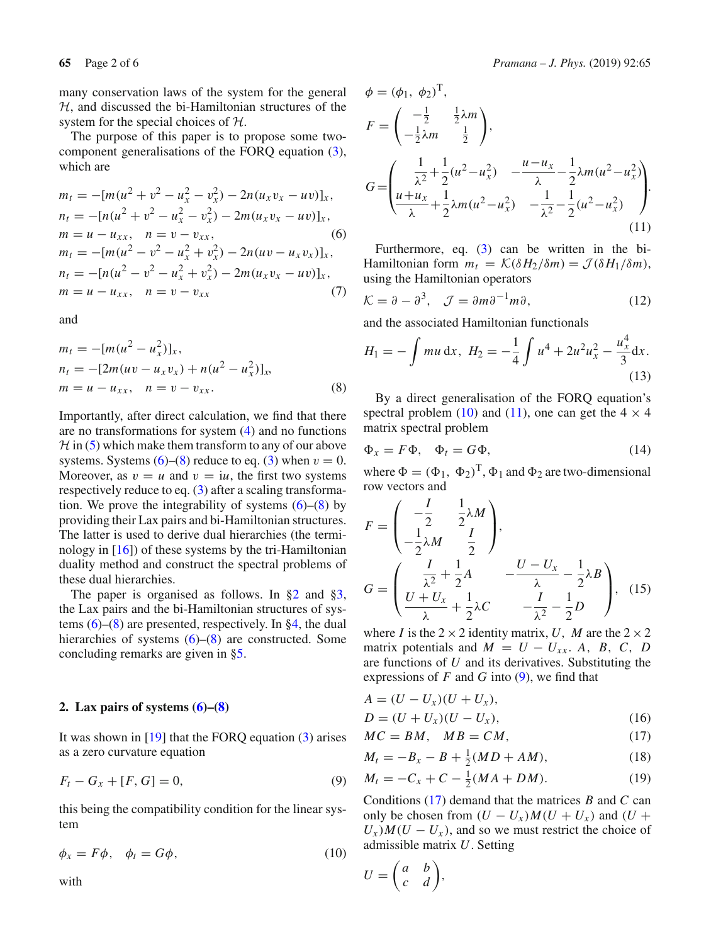many conservation laws of the system for the general *H*, and discussed the bi-Hamiltonian structures of the system for the special choices of *H*.

The purpose of this paper is to propose some twocomponent generalisations of the FORQ equation [\(3\)](#page-0-1), which are

<span id="page-1-0"></span>
$$
m_t = -[m(u^2 + v^2 - u_x^2 - v_x^2) - 2n(u_xv_x - uv)]_x,
$$
  
\n
$$
n_t = -[n(u^2 + v^2 - u_x^2 - v_x^2) - 2m(u_xv_x - uv)]_x,
$$
  
\n
$$
m = u - u_{xx}, \quad n = v - v_{xx},
$$
  
\n
$$
m_t = -[m(u^2 - v^2 - u_x^2 + v_x^2) - 2n(uv - u_xv_x)]_x,
$$
  
\n
$$
n_t = -[n(u^2 - v^2 - u_x^2 + v_x^2) - 2m(u_xv_x - uv)]_x,
$$
  
\n
$$
m = u - u_{xx}, \quad n = v - v_{xx}
$$
\n(7)

and

<span id="page-1-1"></span>
$$
m_t = -[m(u^2 - u_x^2)]_x,
$$
  
\n
$$
n_t = -[2m(uv - u_xv_x) + n(u^2 - u_x^2)]_x,
$$
  
\n
$$
m = u - u_{xx}, \quad n = v - v_{xx}.
$$
\n(8)

Importantly, after direct calculation, we find that there are no transformations for system [\(4\)](#page-0-2) and no functions  $H$  in [\(5\)](#page-0-3) which make them transform to any of our above systems. Systems  $(6)$ – $(8)$  reduce to eq.  $(3)$  when  $v = 0$ . Moreover, as  $v = u$  and  $v = iu$ , the first two systems respectively reduce to eq. [\(3\)](#page-0-1) after a scaling transformation. We prove the integrability of systems  $(6)$ – $(8)$  by providing their Lax pairs and bi-Hamiltonian structures. The latter is used to derive dual hierarchies (the terminology in  $[16]$  $[16]$  of these systems by the tri-Hamiltonian duality method and construct the spectral problems of these dual hierarchies.

The paper is organised as follows. In  $\S2$  and  $\S3$ , the Lax pairs and the bi-Hamiltonian structures of systems  $(6)$ – $(8)$  are presented, respectively. In [§4,](#page-3-0) the dual hierarchies of systems  $(6)$ – $(8)$  are constructed. Some concluding remarks are given in [§5.](#page-4-3)

### <span id="page-1-2"></span>**2. Lax pairs of systems [\(6\)](#page-1-0)–[\(8\)](#page-1-1)**

It was shown in  $[19]$  that the FORQ equation  $(3)$  arises as a zero curvature equation

<span id="page-1-5"></span>
$$
F_t - G_x + [F, G] = 0,
$$
\n(9)

this being the compatibility condition for the linear system

<span id="page-1-3"></span>
$$
\phi_x = F\phi, \quad \phi_t = G\phi,\tag{10}
$$

<span id="page-1-4"></span>with

$$
\phi = (\phi_1, \ \phi_2)^{\mathrm{T}},
$$

$$
F = \begin{pmatrix} -\frac{1}{2} & \frac{1}{2}\lambda m \\ -\frac{1}{2}\lambda m & \frac{1}{2} \end{pmatrix},
$$
  
\n
$$
G = \begin{pmatrix} \frac{1}{\lambda^2} + \frac{1}{2}(u^2 - u_x^2) & -\frac{u - u_x}{\lambda} - \frac{1}{2}\lambda m(u^2 - u_x^2) \\ \frac{u + u_x}{\lambda} + \frac{1}{2}\lambda m(u^2 - u_x^2) & -\frac{1}{\lambda^2} - \frac{1}{2}(u^2 - u_x^2) \end{pmatrix}.
$$
\n(11)

Furthermore, eq. [\(3\)](#page-0-1) can be written in the bi-Hamiltonian form  $m_t = \mathcal{K}(\delta H_2/\delta m) = \mathcal{J}(\delta H_1/\delta m)$ , using the Hamiltonian operators

<span id="page-1-7"></span>
$$
\mathcal{K} = \partial - \partial^3, \quad \mathcal{J} = \partial m \partial^{-1} m \partial, \tag{12}
$$

and the associated Hamiltonian functionals

$$
H_1 = -\int mu \, dx, \ H_2 = -\frac{1}{4} \int u^4 + 2u^2 u_x^2 - \frac{u_x^4}{3} dx.
$$
\n(13)

By a direct generalisation of the FORQ equation's spectral problem [\(10\)](#page-1-3) and [\(11\)](#page-1-4), one can get the  $4 \times 4$ matrix spectral problem

$$
\Phi_x = F\Phi, \quad \Phi_t = G\Phi,
$$
\n(14)

where  $\Phi = (\Phi_1, \Phi_2)^T$ ,  $\Phi_1$  and  $\Phi_2$  are two-dimensional row vectors and

$$
F = \begin{pmatrix} -\frac{I}{2} & \frac{1}{2}\lambda M \\ -\frac{1}{2}\lambda M & \frac{I}{2} \end{pmatrix},
$$
  
\n
$$
G = \begin{pmatrix} \frac{I}{\lambda^2} + \frac{1}{2}A & -\frac{U - U_x}{\lambda} - \frac{1}{2}\lambda B \\ \frac{U + U_x}{\lambda} + \frac{1}{2}\lambda C & -\frac{I}{\lambda^2} - \frac{1}{2}D \end{pmatrix}, (15)
$$

where *I* is the  $2 \times 2$  identity matrix, *U*, *M* are the  $2 \times 2$ matrix potentials and  $M = U - U_{xx}$ . *A*, *B*, *C*, *D* are functions of *U* and its derivatives. Substituting the expressions of  $F$  and  $G$  into  $(9)$ , we find that

$$
A=(U-U_x)(U+U_x),
$$

<span id="page-1-6"></span>
$$
D = (U + U_x)(U - U_x),
$$
 (16)

$$
MC = BM, \quad MB = CM,\tag{17}
$$

$$
M_t = -B_x - B + \frac{1}{2}(MD + AM),
$$
 (18)

$$
M_t = -C_x + C - \frac{1}{2}(MA + DM). \tag{19}
$$

Conditions [\(17\)](#page-1-6) demand that the matrices *B* and *C* can only be chosen from  $(U - U_x)M(U + U_x)$  and  $(U +$  $U_x$ ) $M(U - U_x)$ , and so we must restrict the choice of admissible matrix *U*. Setting

$$
U = \begin{pmatrix} a & b \\ c & d \end{pmatrix},
$$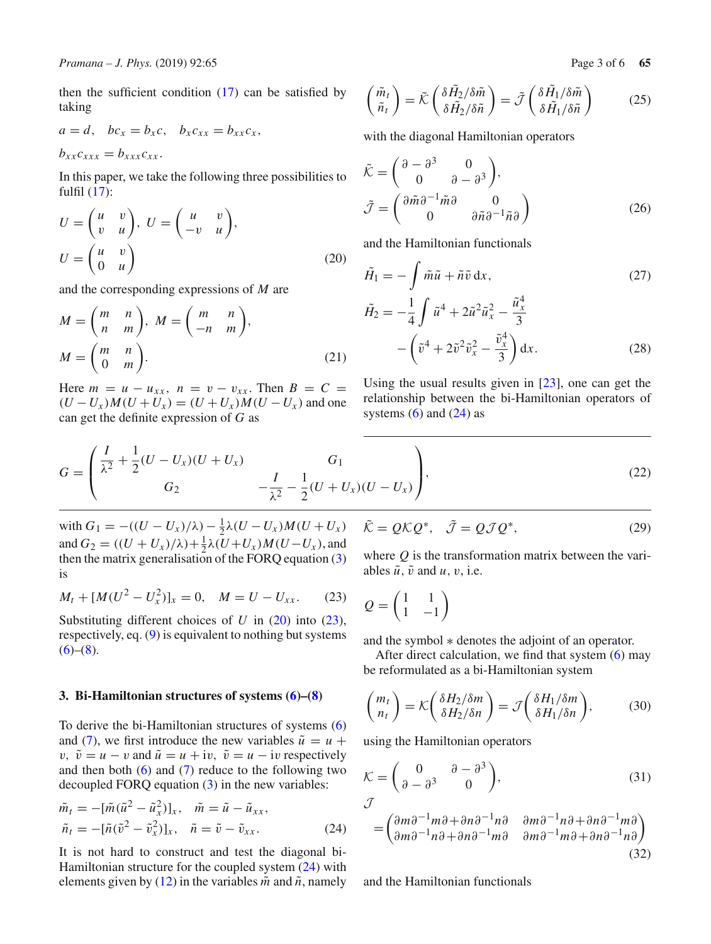then the sufficient condition  $(17)$  can be satisfied by taking

$$
a=d, \quad bc_x=b_xc, \quad b_xc_{xx}=b_{xx}c_x,
$$

 $b_{rr}c_{rrr} = b_{rrr}c_{rrr}$ .

In this paper, we take the following three possibilities to fulfil [\(17\)](#page-1-6):

<span id="page-2-1"></span>
$$
U = \begin{pmatrix} u & v \\ v & u \end{pmatrix}, \ U = \begin{pmatrix} u & v \\ -v & u \end{pmatrix},
$$

$$
U = \begin{pmatrix} u & v \\ 0 & u \end{pmatrix}
$$
(20)

and the corresponding expressions of *M* are

$$
M = \begin{pmatrix} m & n \\ n & m \end{pmatrix}, M = \begin{pmatrix} m & n \\ -n & m \end{pmatrix},
$$
  

$$
M = \begin{pmatrix} m & n \\ 0 & m \end{pmatrix}.
$$
 (21)

Here  $m = u - u_{xx}$ ,  $n = v - v_{xx}$ . Then  $B = C =$  $(U - U_x)M(U + U_x) = (U + U_x)M(U - U_x)$  and one can get the definite expression of *G* as

$$
\begin{pmatrix} \tilde{m}_t \\ \tilde{n}_t \end{pmatrix} = \tilde{\mathcal{K}} \begin{pmatrix} \delta \tilde{H}_2 / \delta \tilde{m} \\ \delta \tilde{H}_2 / \delta \tilde{n} \end{pmatrix} = \tilde{\mathcal{J}} \begin{pmatrix} \delta \tilde{H}_1 / \delta \tilde{m} \\ \delta \tilde{H}_1 / \delta \tilde{n} \end{pmatrix}
$$
(25)

with the diagonal Hamiltonian operators

$$
\tilde{\mathcal{K}} = \begin{pmatrix} \partial - \partial^3 & 0 \\ 0 & \partial - \partial^3 \end{pmatrix}, \n\tilde{\mathcal{J}} = \begin{pmatrix} \partial \tilde{m} \partial^{-1} \tilde{m} \partial & 0 \\ 0 & \partial \tilde{n} \partial^{-1} \tilde{n} \partial \end{pmatrix}
$$
\n(26)

and the Hamiltonian functionals

$$
\tilde{H}_1 = -\int \tilde{m}\tilde{u} + \tilde{n}\tilde{v} \, \mathrm{d}x,\tag{27}
$$

$$
\tilde{H}_2 = -\frac{1}{4} \int \tilde{u}^4 + 2\tilde{u}^2 \tilde{u}_x^2 - \frac{\tilde{u}_x^4}{3} - \left(\tilde{v}^4 + 2\tilde{v}^2 \tilde{v}_x^2 - \frac{\tilde{v}_x^4}{3}\right) dx.
$$
\n(28)

Using the usual results given in [\[23\]](#page-5-12), one can get the relationship between the bi-Hamiltonian operators of systems  $(6)$  and  $(24)$  as

$$
G = \begin{pmatrix} \frac{I}{\lambda^2} + \frac{1}{2}(U - U_x)(U + U_x) & G_1 \\ G_2 & -\frac{I}{\lambda^2} - \frac{1}{2}(U + U_x)(U - U_x) \end{pmatrix},
$$
(22)

with  $G_1 = -((U - U_x)/\lambda) - \frac{1}{2}\lambda(U - U_x)M(U + U_x)$ and  $G_2 = ((U + U_x)/\lambda) + \frac{1}{2}\lambda(U + U_x)M(U - U_x)$ , and then the matrix generalisation of the FORQ equation [\(3\)](#page-0-1) is

<span id="page-2-2"></span>
$$
M_t + [M(U^2 - U_x^2)]_x = 0, \quad M = U - U_{xx}.
$$
 (23)

Substituting different choices of *U* in [\(20\)](#page-2-1) into [\(23\)](#page-2-2), respectively, eq. [\(9\)](#page-1-5) is equivalent to nothing but systems  $(6)-(8)$  $(6)-(8)$  $(6)-(8)$ .

# <span id="page-2-0"></span>**3. Bi-Hamiltonian structures of systems [\(6\)](#page-1-0)–[\(8\)](#page-1-1)**

To derive the bi-Hamiltonian structures of systems [\(6\)](#page-1-0) and [\(7\)](#page-1-0), we first introduce the new variables  $\tilde{u} = u +$ *v*,  $\tilde{v} = u - v$  and  $\tilde{u} = u + iv$ ,  $\tilde{v} = u - iv$  respectively and then both  $(6)$  and  $(7)$  reduce to the following two decoupled FORQ equation [\(3\)](#page-0-1) in the new variables:

<span id="page-2-3"></span>
$$
\tilde{m}_t = -[\tilde{m}(\tilde{u}^2 - \tilde{u}_x^2)]_x, \quad \tilde{m} = \tilde{u} - \tilde{u}_{xx},
$$
  

$$
\tilde{n}_t = -[\tilde{n}(\tilde{v}^2 - \tilde{v}_x^2)]_x, \quad \tilde{n} = \tilde{v} - \tilde{v}_{xx}.
$$
 (24)

It is not hard to construct and test the diagonal bi-Hamiltonian structure for the coupled system [\(24\)](#page-2-3) with elements given by [\(12\)](#page-1-7) in the variables  $\tilde{m}$  and  $\tilde{n}$ , namely

<span id="page-2-6"></span>
$$
\tilde{\mathcal{K}} = Q\mathcal{K}Q^*, \quad \tilde{\mathcal{J}} = Q\mathcal{J}Q^*, \tag{29}
$$

where *Q* is the transformation matrix between the variables  $\tilde{u}$ ,  $\tilde{v}$  and  $u$ ,  $v$ , i.e.

$$
Q = \begin{pmatrix} 1 & 1 \\ 1 & -1 \end{pmatrix}
$$

and the symbol ∗ denotes the adjoint of an operator.

After direct calculation, we find that system  $(6)$  may be reformulated as a bi-Hamiltonian system

<span id="page-2-4"></span>
$$
\begin{pmatrix} m_t \\ n_t \end{pmatrix} = \mathcal{K} \begin{pmatrix} \delta H_2 / \delta m \\ \delta H_2 / \delta n \end{pmatrix} = \mathcal{J} \begin{pmatrix} \delta H_1 / \delta m \\ \delta H_1 / \delta n \end{pmatrix},\tag{30}
$$

using the Hamiltonian operators

<span id="page-2-5"></span>
$$
\mathcal{K} = \begin{pmatrix} 0 & \partial - \partial^3 \\ \partial - \partial^3 & 0 \end{pmatrix},
$$
\n(31)

$$
= \begin{pmatrix} \frac{\partial m\partial^{-1}m\partial + \partial n\partial^{-1}n\partial} & \frac{\partial m\partial^{-1}n\partial + \partial n\partial^{-1}m\partial}{} \\ \frac{\partial m\partial^{-1}n\partial + \partial n\partial^{-1}m\partial} & \frac{\partial m\partial^{-1}m\partial + \partial n\partial^{-1}n\partial}{} \end{pmatrix}
$$
(32)

and the Hamiltonian functionals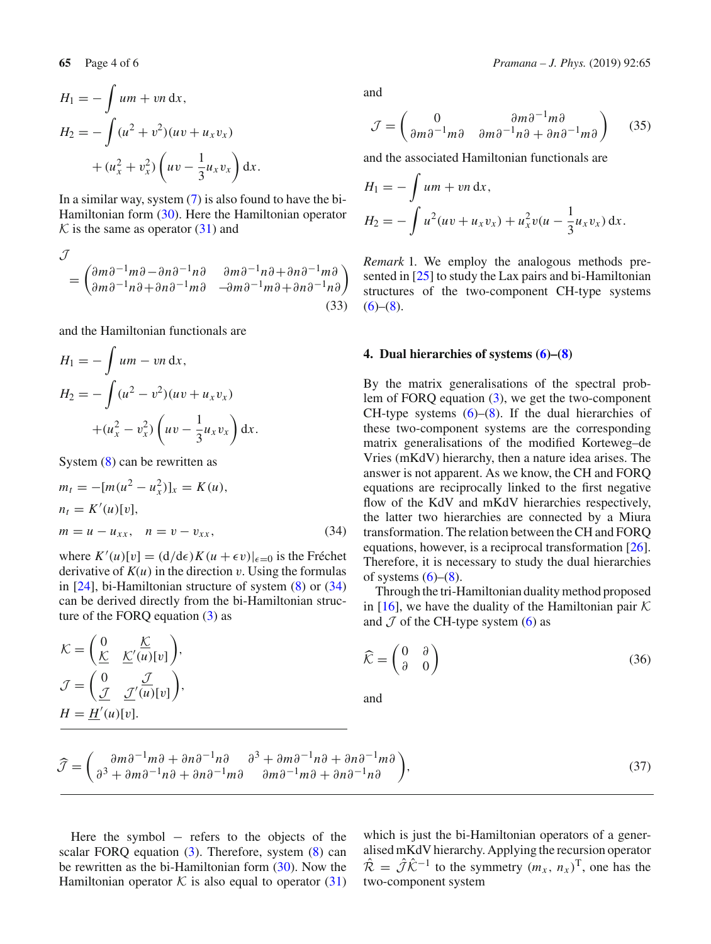$$
H_1 = -\int u m + v n \, dx,
$$
  
\n
$$
H_2 = -\int (u^2 + v^2)(uv + u_x v_x) + (u_x^2 + v_x^2) \left( uv - \frac{1}{3} u_x v_x \right) dx.
$$

In a similar way, system  $(7)$  is also found to have the bi-Hamiltonian form [\(30\)](#page-2-4). Here the Hamiltonian operator  $K$  is the same as operator  $(31)$  and

$$
\mathcal{J} = \begin{pmatrix} \frac{\partial m\partial^{-1}m\partial - \partial n\partial^{-1}n\partial} & \frac{\partial m\partial^{-1}n\partial + \partial n\partial^{-1}m\partial}{} \\ \frac{\partial m\partial^{-1}n\partial + \partial n\partial^{-1}m\partial} & -\partial m\partial^{-1}m\partial + \partial n\partial^{-1}n\partial \end{pmatrix}
$$
(33)

and the Hamiltonian functionals are

$$
H_1 = -\int u m - v n \, dx,
$$
  
\n
$$
H_2 = -\int (u^2 - v^2)(uv + u_x v_x) + (u_x^2 - v_x^2) \left( uv - \frac{1}{3} u_x v_x \right) dx.
$$

System [\(8\)](#page-1-1) can be rewritten as

<span id="page-3-1"></span>
$$
m_t = -[m(u^2 - u_x^2)]_x = K(u),
$$
  
\n
$$
n_t = K'(u)[v],
$$
  
\n
$$
m = u - u_{xx}, \quad n = v - v_{xx},
$$
\n(34)

where  $K'(u)[v] = (d/d\epsilon)K(u + \epsilon v)|_{\epsilon=0}$  is the Fréchet derivative of  $K(u)$  in the direction  $v$ . Using the formulas in [\[24\]](#page-5-13), bi-Hamiltonian structure of system [\(8\)](#page-1-1) or [\(34\)](#page-3-1) can be derived directly from the bi-Hamiltonian structure of the FORQ equation [\(3\)](#page-0-1) as

$$
\mathcal{K} = \left(\underbrace{\begin{array}{cc} 0 & \underline{\mathcal{K}} \\ \underline{\mathcal{K}} & \underline{\mathcal{K}}'(u)[v] \end{array}}_{\mathcal{J}}\right),
$$
\n
$$
\mathcal{J} = \left(\underbrace{\begin{array}{cc} 0 & \underline{\mathcal{J}} \\ \underline{\mathcal{J}} & \underline{\mathcal{J}}'(u)[v] \end{array}}_{\mathcal{L}^{1}}\right),
$$
\n
$$
H = \underline{H}'(u)[v].
$$

and

$$
\mathcal{J} = \begin{pmatrix} 0 & \partial m \partial^{-1} m \partial \\ \partial m \partial^{-1} m \partial & \partial m \partial^{-1} n \partial + \partial n \partial^{-1} m \partial \end{pmatrix}
$$
 (35)

and the associated Hamiltonian functionals are

$$
H_1 = -\int u m + v n \, dx,
$$
  
\n
$$
H_2 = -\int u^2 (uv + u_x v_x) + u_x^2 v (u - \frac{1}{3} u_x v_x) \, dx.
$$

*Remark* 1*.* We employ the analogous methods presented in [\[25](#page-5-14)] to study the Lax pairs and bi-Hamiltonian structures of the two-component CH-type systems  $(6)-(8)$  $(6)-(8)$  $(6)-(8)$ .

#### <span id="page-3-0"></span>**4. Dual hierarchies of systems [\(6\)](#page-1-0)–[\(8\)](#page-1-1)**

By the matrix generalisations of the spectral problem of FORQ equation [\(3\)](#page-0-1), we get the two-component CH-type systems  $(6)$ – $(8)$ . If the dual hierarchies of these two-component systems are the corresponding matrix generalisations of the modified Korteweg–de Vries (mKdV) hierarchy, then a nature idea arises. The answer is not apparent. As we know, the CH and FORQ equations are reciprocally linked to the first negative flow of the KdV and mKdV hierarchies respectively, the latter two hierarchies are connected by a Miura transformation. The relation between the CH and FORQ equations, however, is a reciprocal transformation [\[26](#page-5-15)]. Therefore, it is necessary to study the dual hierarchies of systems  $(6)$ – $(8)$ .

Through the tri-Hamiltonian duality method proposed in [\[16\]](#page-5-6), we have the duality of the Hamiltonian pair  $K$ and  $J$  of the CH-type system [\(6\)](#page-1-0) as

$$
\widehat{\mathcal{K}} = \begin{pmatrix} 0 & \partial \\ \partial & 0 \end{pmatrix} \tag{36}
$$

and

$$
\widehat{\mathcal{J}} = \begin{pmatrix} \frac{\partial m\partial^{-1}m\partial + \partial n\partial^{-1}n\partial & \partial^3 + \partial m\partial^{-1}n\partial + \partial n\partial^{-1}m\partial \\ \partial^3 + \partial m\partial^{-1}n\partial + \partial n\partial^{-1}m\partial & \partial m\partial^{-1}m\partial + \partial n\partial^{-1}n\partial \end{pmatrix},
$$
\n(37)

Here the symbol − refers to the objects of the scalar FORQ equation [\(3\)](#page-0-1). Therefore, system [\(8\)](#page-1-1) can be rewritten as the bi-Hamiltonian form [\(30\)](#page-2-4). Now the Hamiltonian operator  $K$  is also equal to operator [\(31\)](#page-2-5) which is just the bi-Hamiltonian operators of a generalised mKdV hierarchy. Applying the recursion operator  $\hat{\mathcal{R}} = \hat{\mathcal{J}} \hat{\mathcal{K}}^{-1}$  to the symmetry  $(m_x, n_x)^\text{T}$ , one has the two-component system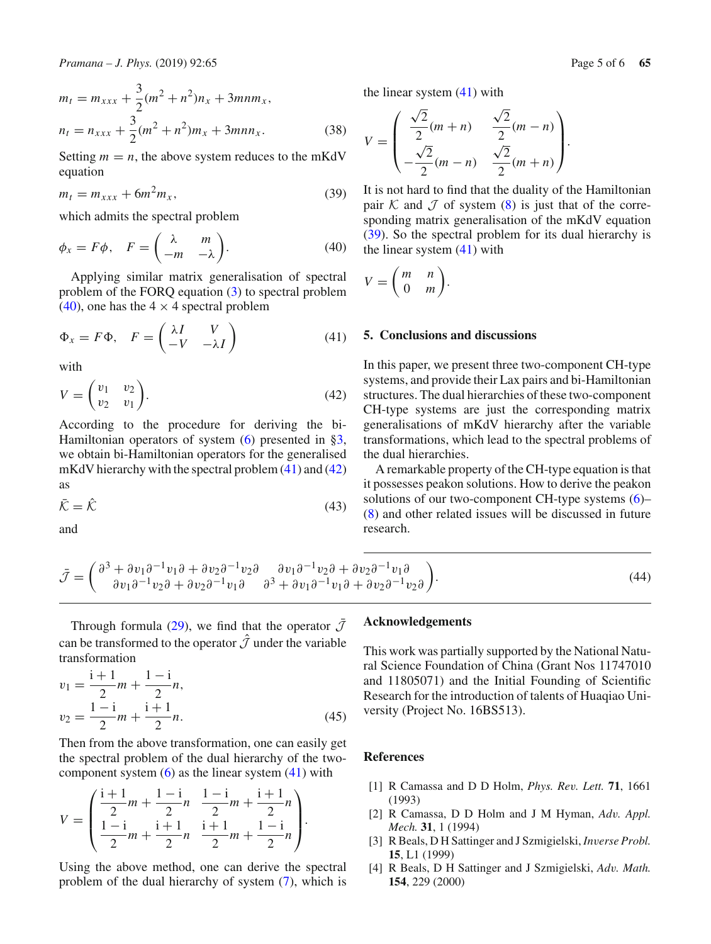$$
m_t = m_{xxx} + \frac{3}{2}(m^2 + n^2)n_x + 3mnm_x,
$$
  

$$
n_t = n_{xxx} + \frac{3}{2}(m^2 + n^2)m_x + 3mnn_x.
$$
 (38)

Setting  $m = n$ , the above system reduces to the mKdV equation

<span id="page-4-7"></span>
$$
m_t = m_{xxx} + 6m^2 m_x, \t\t(39)
$$

which admits the spectral problem

<span id="page-4-4"></span>
$$
\phi_x = F\phi, \quad F = \begin{pmatrix} \lambda & m \\ -m & -\lambda \end{pmatrix}.
$$
 (40)

Applying similar matrix generalisation of spectral problem of the FORQ equation [\(3\)](#page-0-1) to spectral problem  $(40)$ , one has the 4  $\times$  4 spectral problem

<span id="page-4-5"></span>
$$
\Phi_x = F\Phi, \quad F = \begin{pmatrix} \lambda I & V \\ -V & -\lambda I \end{pmatrix} \tag{41}
$$

with

<span id="page-4-6"></span>
$$
V = \begin{pmatrix} v_1 & v_2 \\ v_2 & v_1 \end{pmatrix}.
$$
 (42)

According to the procedure for deriving the bi-Hamiltonian operators of system  $(6)$  presented in [§3,](#page-2-0) we obtain bi-Hamiltonian operators for the generalised mKdV hierarchy with the spectral problem  $(41)$  and  $(42)$ as

$$
\bar{\mathcal{K}} = \hat{\mathcal{K}} \tag{43}
$$

and

the linear system 
$$
(41)
$$
 with

$$
V = \begin{pmatrix} \frac{\sqrt{2}}{2}(m+n) & \frac{\sqrt{2}}{2}(m-n) \\ -\frac{\sqrt{2}}{2}(m-n) & \frac{\sqrt{2}}{2}(m+n) \end{pmatrix}.
$$

It is not hard to find that the duality of the Hamiltonian pair  $K$  and  $J$  of system [\(8\)](#page-1-1) is just that of the corresponding matrix generalisation of the mKdV equation [\(39\)](#page-4-7). So the spectral problem for its dual hierarchy is the linear system [\(41\)](#page-4-5) with

$$
V = \begin{pmatrix} m & n \\ 0 & m \end{pmatrix}.
$$

## <span id="page-4-3"></span>**5. Conclusions and discussions**

In this paper, we present three two-component CH-type systems, and provide their Lax pairs and bi-Hamiltonian structures. The dual hierarchies of these two-component CH-type systems are just the corresponding matrix generalisations of mKdV hierarchy after the variable transformations, which lead to the spectral problems of the dual hierarchies.

A remarkable property of the CH-type equation is that it possesses peakon solutions. How to derive the peakon solutions of our two-component CH-type systems [\(6\)](#page-1-0)– [\(8\)](#page-1-1) and other related issues will be discussed in future research.

$$
\bar{\mathcal{J}} = \begin{pmatrix} \partial^3 + \partial v_1 \partial^{-1} v_1 \partial + \partial v_2 \partial^{-1} v_2 \partial & \partial v_1 \partial^{-1} v_2 \partial + \partial v_2 \partial^{-1} v_1 \partial \\ \partial v_1 \partial^{-1} v_2 \partial + \partial v_2 \partial^{-1} v_1 \partial & \partial^3 + \partial v_1 \partial^{-1} v_1 \partial + \partial v_2 \partial^{-1} v_2 \partial \end{pmatrix} . \tag{44}
$$

Through formula [\(29\)](#page-2-6), we find that the operator  $\bar{J}$ can be transformed to the operator  $\hat{J}$  under the variable transformation

$$
v_1 = \frac{i+1}{2}m + \frac{1-i}{2}n,
$$
  

$$
v_2 = \frac{1-i}{2}m + \frac{i+1}{2}n.
$$
 (45)

Then from the above transformation, one can easily get the spectral problem of the dual hierarchy of the twocomponent system  $(6)$  as the linear system  $(41)$  with

$$
V = \begin{pmatrix} \frac{i+1}{2}m + \frac{1-i}{2}n & \frac{1-i}{2}m + \frac{i+1}{2}n \\ \frac{1-i}{2}m + \frac{i+1}{2}n & \frac{i+1}{2}m + \frac{1-i}{2}n \end{pmatrix}.
$$

Using the above method, one can derive the spectral problem of the dual hierarchy of system [\(7\)](#page-1-0), which is

## **Acknowledgements**

This work was partially supported by the National Natural Science Foundation of China (Grant Nos 11747010 and 11805071) and the Initial Founding of Scientific Research for the introduction of talents of Huaqiao University (Project No. 16BS513).

#### **References**

- <span id="page-4-0"></span>[1] R Camassa and D D Holm, *Phys. Rev. Lett.* **71**, 1661 (1993)
- <span id="page-4-1"></span>[2] R Camassa, D D Holm and J M Hyman, *Adv. Appl. Mech.* **31**, 1 (1994)
- [3] R Beals, D H Sattinger and J Szmigielski, *Inverse Probl.* **15**, L1 (1999)
- <span id="page-4-2"></span>[4] R Beals, D H Sattinger and J Szmigielski, *Adv. Math.* **154**, 229 (2000)